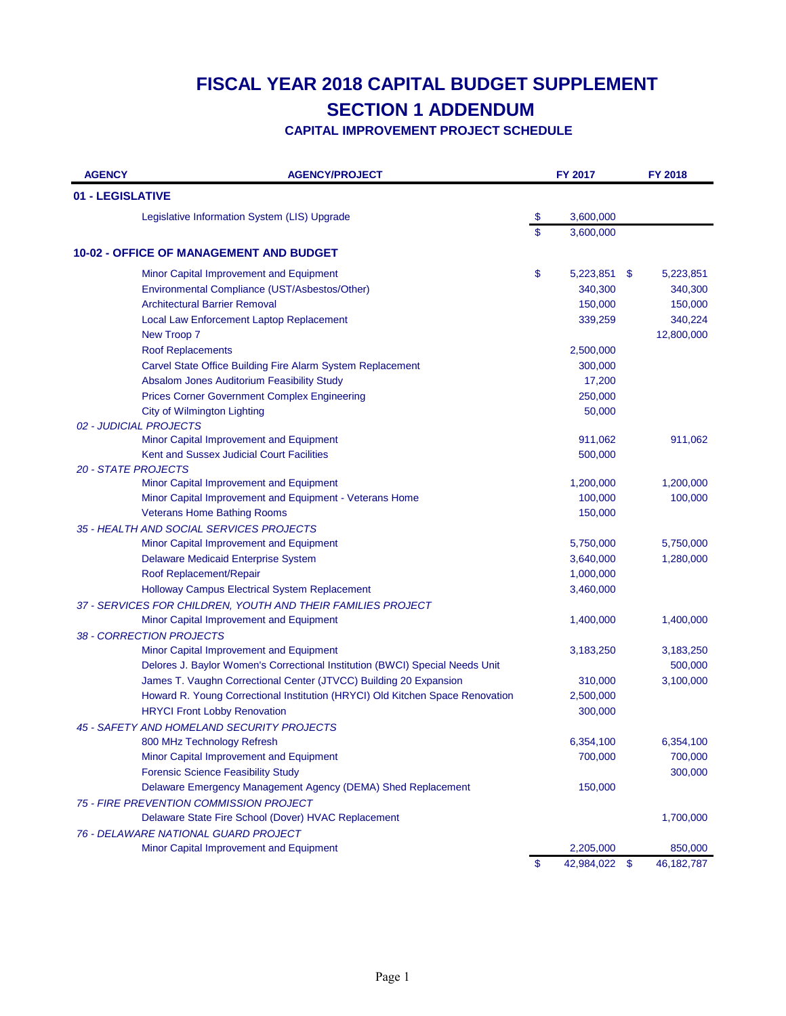| <b>AGENCY</b>    | <b>AGENCY/PROJECT</b>                                                         | FY 2017          |      | FY 2018      |
|------------------|-------------------------------------------------------------------------------|------------------|------|--------------|
| 01 - LEGISLATIVE |                                                                               |                  |      |              |
|                  | Legislative Information System (LIS) Upgrade                                  | \$<br>3,600,000  |      |              |
|                  |                                                                               | \$<br>3,600,000  |      |              |
|                  | 10-02 - OFFICE OF MANAGEMENT AND BUDGET                                       |                  |      |              |
|                  | Minor Capital Improvement and Equipment                                       | \$<br>5,223,851  | \$   | 5,223,851    |
|                  | Environmental Compliance (UST/Asbestos/Other)                                 | 340,300          |      | 340,300      |
|                  | <b>Architectural Barrier Removal</b>                                          | 150,000          |      | 150,000      |
|                  | Local Law Enforcement Laptop Replacement                                      | 339,259          |      | 340,224      |
|                  | New Troop 7                                                                   |                  |      | 12,800,000   |
|                  | <b>Roof Replacements</b>                                                      | 2,500,000        |      |              |
|                  | Carvel State Office Building Fire Alarm System Replacement                    | 300,000          |      |              |
|                  | Absalom Jones Auditorium Feasibility Study                                    | 17,200           |      |              |
|                  | <b>Prices Corner Government Complex Engineering</b>                           | 250,000          |      |              |
|                  | <b>City of Wilmington Lighting</b>                                            | 50,000           |      |              |
|                  | 02 - JUDICIAL PROJECTS                                                        |                  |      |              |
|                  | Minor Capital Improvement and Equipment                                       | 911,062          |      | 911,062      |
|                  | Kent and Sussex Judicial Court Facilities                                     | 500,000          |      |              |
|                  | <b>20 - STATE PROJECTS</b>                                                    |                  |      |              |
|                  | Minor Capital Improvement and Equipment                                       | 1,200,000        |      | 1,200,000    |
|                  | Minor Capital Improvement and Equipment - Veterans Home                       | 100,000          |      | 100,000      |
|                  | <b>Veterans Home Bathing Rooms</b>                                            | 150,000          |      |              |
|                  | 35 - HEALTH AND SOCIAL SERVICES PROJECTS                                      |                  |      |              |
|                  | Minor Capital Improvement and Equipment                                       | 5,750,000        |      | 5,750,000    |
|                  | Delaware Medicaid Enterprise System                                           | 3,640,000        |      | 1,280,000    |
|                  | Roof Replacement/Repair                                                       | 1,000,000        |      |              |
|                  | Holloway Campus Electrical System Replacement                                 | 3,460,000        |      |              |
|                  | 37 - SERVICES FOR CHILDREN, YOUTH AND THEIR FAMILIES PROJECT                  |                  |      |              |
|                  | Minor Capital Improvement and Equipment                                       | 1,400,000        |      | 1,400,000    |
|                  | 38 - CORRECTION PROJECTS                                                      |                  |      |              |
|                  | Minor Capital Improvement and Equipment                                       | 3,183,250        |      | 3,183,250    |
|                  | Delores J. Baylor Women's Correctional Institution (BWCI) Special Needs Unit  |                  |      | 500,000      |
|                  | James T. Vaughn Correctional Center (JTVCC) Building 20 Expansion             | 310,000          |      | 3,100,000    |
|                  | Howard R. Young Correctional Institution (HRYCI) Old Kitchen Space Renovation | 2,500,000        |      |              |
|                  | <b>HRYCI Front Lobby Renovation</b>                                           | 300,000          |      |              |
|                  | 45 - SAFETY AND HOMELAND SECURITY PROJECTS                                    |                  |      |              |
|                  | 800 MHz Technology Refresh                                                    | 6,354,100        |      | 6,354,100    |
|                  | Minor Capital Improvement and Equipment                                       | 700,000          |      | 700,000      |
|                  | <b>Forensic Science Feasibility Study</b>                                     |                  |      | 300,000      |
|                  | Delaware Emergency Management Agency (DEMA) Shed Replacement                  | 150,000          |      |              |
|                  | 75 - FIRE PREVENTION COMMISSION PROJECT                                       |                  |      |              |
|                  | Delaware State Fire School (Dover) HVAC Replacement                           |                  |      | 1,700,000    |
|                  | 76 - DELAWARE NATIONAL GUARD PROJECT                                          |                  |      |              |
|                  | Minor Capital Improvement and Equipment                                       | 2,205,000        |      | 850,000      |
|                  |                                                                               | \$<br>42,984,022 | - \$ | 46, 182, 787 |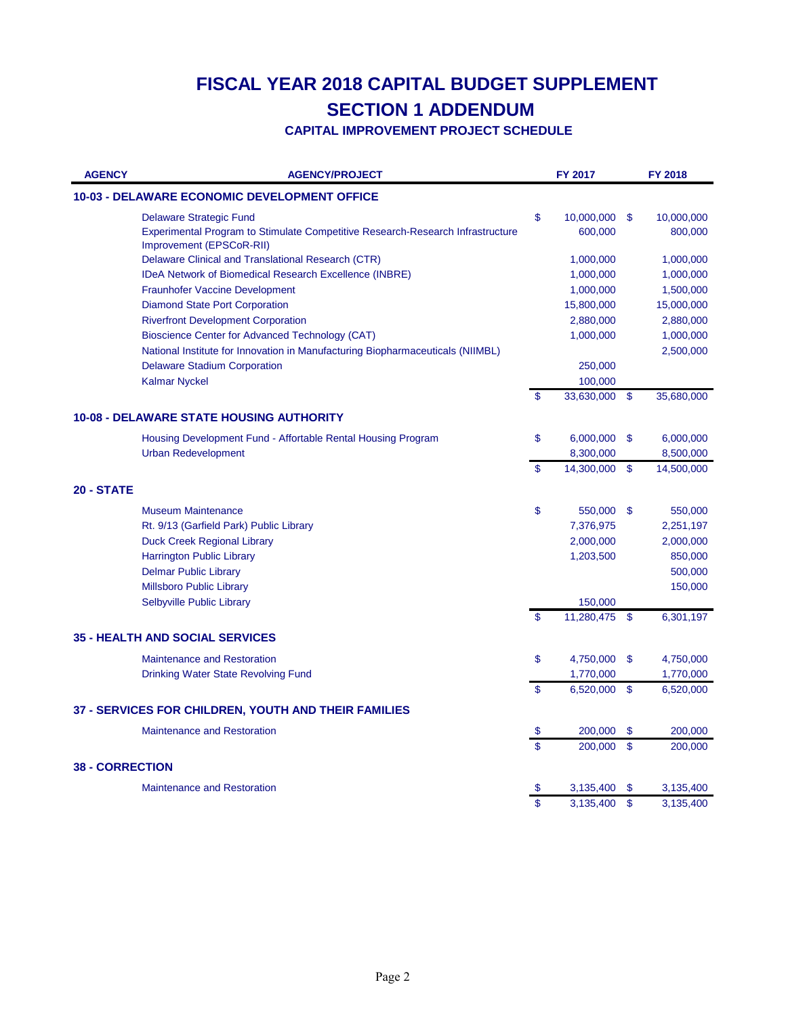| <b>AGENCY</b>          | <b>AGENCY/PROJECT</b>                                                                                      | <b>FY 2017</b>   |               | <b>FY 2018</b> |
|------------------------|------------------------------------------------------------------------------------------------------------|------------------|---------------|----------------|
|                        | <b>10-03 - DELAWARE ECONOMIC DEVELOPMENT OFFICE</b>                                                        |                  |               |                |
|                        | <b>Delaware Strategic Fund</b>                                                                             | \$<br>10,000,000 | - \$          | 10,000,000     |
|                        | Experimental Program to Stimulate Competitive Research-Research Infrastructure<br>Improvement (EPSCoR-RII) | 600,000          |               | 800,000        |
|                        | Delaware Clinical and Translational Research (CTR)                                                         | 1,000,000        |               | 1,000,000      |
|                        | IDeA Network of Biomedical Research Excellence (INBRE)                                                     | 1,000,000        |               | 1,000,000      |
|                        | <b>Fraunhofer Vaccine Development</b>                                                                      | 1,000,000        |               | 1,500,000      |
|                        | <b>Diamond State Port Corporation</b>                                                                      | 15,800,000       |               | 15,000,000     |
|                        | <b>Riverfront Development Corporation</b>                                                                  | 2,880,000        |               | 2,880,000      |
|                        | Bioscience Center for Advanced Technology (CAT)                                                            | 1,000,000        |               | 1,000,000      |
|                        | National Institute for Innovation in Manufacturing Biopharmaceuticals (NIIMBL)                             |                  |               | 2,500,000      |
|                        | <b>Delaware Stadium Corporation</b>                                                                        | 250,000          |               |                |
|                        | <b>Kalmar Nyckel</b>                                                                                       | 100,000          |               |                |
|                        |                                                                                                            | \$<br>33,630,000 | -\$           | 35,680,000     |
|                        | <b>10-08 - DELAWARE STATE HOUSING AUTHORITY</b>                                                            |                  |               |                |
|                        | Housing Development Fund - Affortable Rental Housing Program                                               | \$<br>6,000,000  | \$            | 6,000,000      |
|                        | <b>Urban Redevelopment</b>                                                                                 | 8,300,000        |               | 8,500,000      |
|                        |                                                                                                            | \$<br>14,300,000 | \$            | 14,500,000     |
| 20 - STATE             |                                                                                                            |                  |               |                |
|                        | <b>Museum Maintenance</b>                                                                                  | \$<br>550,000 \$ |               | 550,000        |
|                        | Rt. 9/13 (Garfield Park) Public Library                                                                    | 7,376,975        |               | 2,251,197      |
|                        | <b>Duck Creek Regional Library</b>                                                                         | 2,000,000        |               | 2,000,000      |
|                        | <b>Harrington Public Library</b>                                                                           | 1,203,500        |               | 850,000        |
|                        | <b>Delmar Public Library</b>                                                                               |                  |               | 500,000        |
|                        | <b>Millsboro Public Library</b>                                                                            |                  |               | 150,000        |
|                        | Selbyville Public Library                                                                                  | 150,000          |               |                |
|                        |                                                                                                            | \$<br>11,280,475 | -\$           | 6,301,197      |
|                        | <b>35 - HEALTH AND SOCIAL SERVICES</b>                                                                     |                  |               |                |
|                        | <b>Maintenance and Restoration</b>                                                                         | \$<br>4,750,000  | - \$          | 4,750,000      |
|                        | Drinking Water State Revolving Fund                                                                        | 1,770,000        |               | 1,770,000      |
|                        |                                                                                                            | \$<br>6,520,000  | -\$           | 6,520,000      |
|                        | 37 - SERVICES FOR CHILDREN, YOUTH AND THEIR FAMILIES                                                       |                  |               |                |
|                        | <b>Maintenance and Restoration</b>                                                                         | \$<br>200,000    | -\$           | 200,000        |
|                        |                                                                                                            | \$<br>200,000    | \$            | 200,000        |
| <b>38 - CORRECTION</b> |                                                                                                            |                  |               |                |
|                        | <b>Maintenance and Restoration</b>                                                                         | 3,135,400        | S             | 3,135,400      |
|                        |                                                                                                            | \$<br>3,135,400  | $\mathsf{\$}$ | 3,135,400      |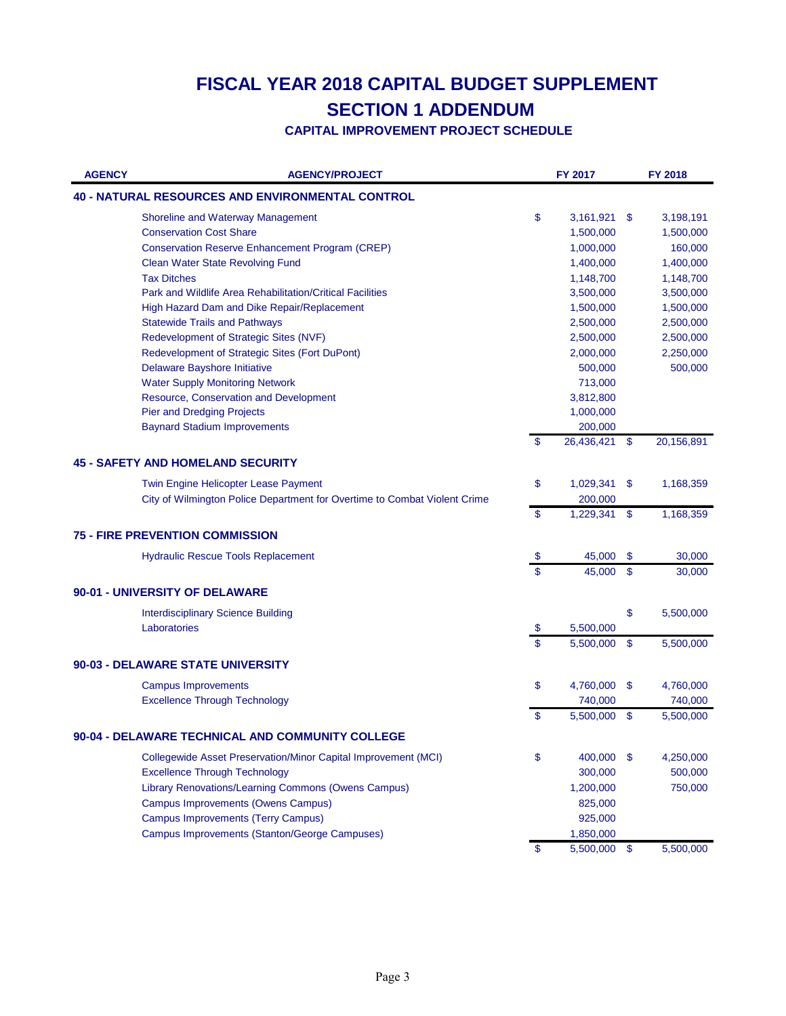| <b>AGENCY</b> | <b>AGENCY/PROJECT</b>                                                     |                           | FY 2017      |               | FY 2018    |
|---------------|---------------------------------------------------------------------------|---------------------------|--------------|---------------|------------|
|               | <b>40 - NATURAL RESOURCES AND ENVIRONMENTAL CONTROL</b>                   |                           |              |               |            |
|               | Shoreline and Waterway Management                                         | \$                        | 3,161,921    | \$            | 3,198,191  |
|               | <b>Conservation Cost Share</b>                                            |                           | 1,500,000    |               | 1,500,000  |
|               | <b>Conservation Reserve Enhancement Program (CREP)</b>                    |                           | 1,000,000    |               | 160,000    |
|               | <b>Clean Water State Revolving Fund</b>                                   |                           | 1,400,000    |               | 1,400,000  |
|               | <b>Tax Ditches</b>                                                        |                           | 1,148,700    |               | 1,148,700  |
|               | Park and Wildlife Area Rehabilitation/Critical Facilities                 |                           | 3,500,000    |               | 3,500,000  |
|               | High Hazard Dam and Dike Repair/Replacement                               |                           | 1,500,000    |               | 1,500,000  |
|               | <b>Statewide Trails and Pathways</b>                                      |                           | 2,500,000    |               | 2,500,000  |
|               | Redevelopment of Strategic Sites (NVF)                                    |                           | 2,500,000    |               | 2,500,000  |
|               | Redevelopment of Strategic Sites (Fort DuPont)                            |                           | 2,000,000    |               | 2,250,000  |
|               | Delaware Bayshore Initiative                                              |                           | 500,000      |               | 500,000    |
|               | <b>Water Supply Monitoring Network</b>                                    |                           | 713,000      |               |            |
|               | Resource, Conservation and Development                                    |                           | 3,812,800    |               |            |
|               | <b>Pier and Dredging Projects</b>                                         |                           | 1,000,000    |               |            |
|               | <b>Baynard Stadium Improvements</b>                                       |                           | 200,000      |               |            |
|               |                                                                           | \$                        | 26,436,421   | \$            | 20,156,891 |
|               | <b>45 - SAFETY AND HOMELAND SECURITY</b>                                  |                           |              |               |            |
|               | Twin Engine Helicopter Lease Payment                                      | \$                        | 1,029,341    | \$            | 1,168,359  |
|               | City of Wilmington Police Department for Overtime to Combat Violent Crime |                           | 200,000      |               |            |
|               |                                                                           | \$                        | 1,229,341    | \$            | 1,168,359  |
|               | <b>75 - FIRE PREVENTION COMMISSION</b>                                    |                           |              |               |            |
|               | <b>Hydraulic Rescue Tools Replacement</b>                                 | $\boldsymbol{\mathsf{S}}$ | 45,000       | \$            | 30,000     |
|               |                                                                           | \$                        | 45,000       | \$            | 30,000     |
|               | 90-01 - UNIVERSITY OF DELAWARE                                            |                           |              |               |            |
|               | <b>Interdisciplinary Science Building</b>                                 |                           |              | \$            | 5,500,000  |
|               | Laboratories                                                              | $\boldsymbol{\mathsf{S}}$ | 5,500,000    |               |            |
|               |                                                                           | $\mathbf{\$}$             | 5,500,000    | $\mathbf{\$}$ | 5,500,000  |
|               | 90-03 - DELAWARE STATE UNIVERSITY                                         |                           |              |               |            |
|               | <b>Campus Improvements</b>                                                | \$                        | 4,760,000    | \$            | 4,760,000  |
|               | <b>Excellence Through Technology</b>                                      |                           | 740,000      |               | 740,000    |
|               |                                                                           | \$                        | 5,500,000    | \$            | 5,500,000  |
|               |                                                                           |                           |              |               |            |
|               | 90-04 - DELAWARE TECHNICAL AND COMMUNITY COLLEGE                          |                           |              |               |            |
|               | <b>Collegewide Asset Preservation/Minor Capital Improvement (MCI)</b>     | \$                        | 400,000 \$   |               | 4,250,000  |
|               | <b>Excellence Through Technology</b>                                      |                           | 300,000      |               | 500,000    |
|               | Library Renovations/Learning Commons (Owens Campus)                       |                           | 1,200,000    |               | 750,000    |
|               | <b>Campus Improvements (Owens Campus)</b>                                 |                           | 825,000      |               |            |
|               | <b>Campus Improvements (Terry Campus)</b>                                 |                           | 925,000      |               |            |
|               | Campus Improvements (Stanton/George Campuses)                             |                           | 1,850,000    |               |            |
|               |                                                                           | \$                        | 5,500,000 \$ |               | 5,500,000  |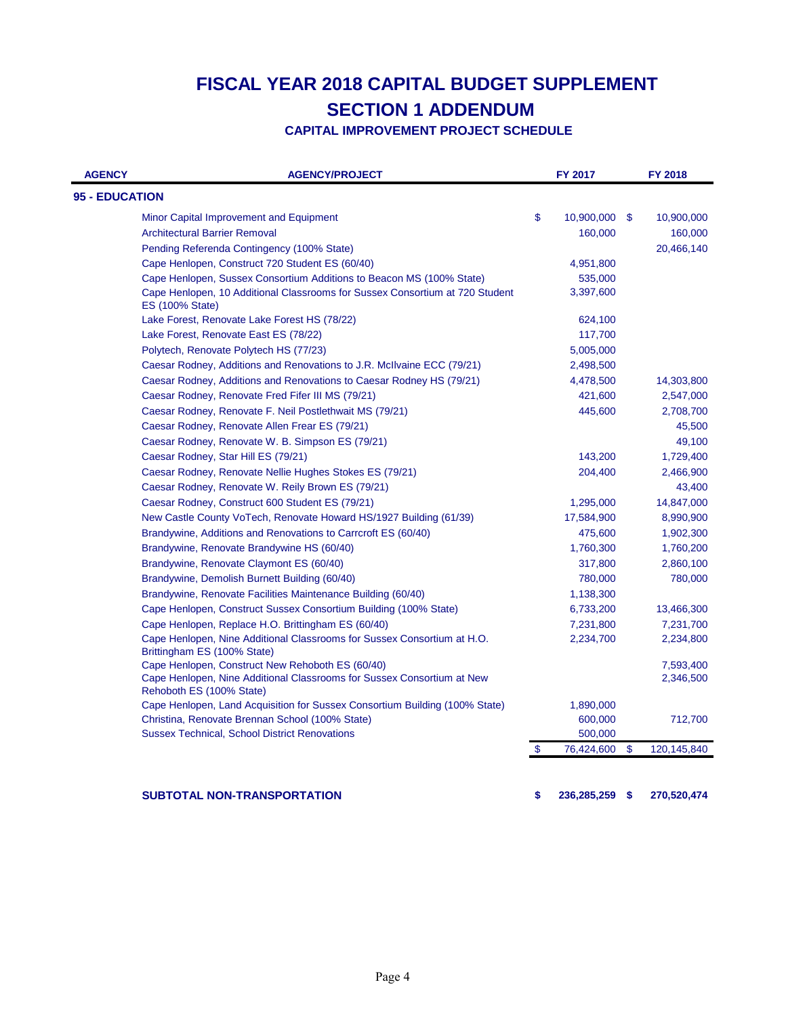**CAPITAL IMPROVEMENT PROJECT SCHEDULE**

| <b>AGENCY</b>         | <b>AGENCY/PROJECT</b>                                                                                  | FY 2017             | FY 2018           |
|-----------------------|--------------------------------------------------------------------------------------------------------|---------------------|-------------------|
| <b>95 - EDUCATION</b> |                                                                                                        |                     |                   |
|                       | Minor Capital Improvement and Equipment                                                                | \$<br>10,900,000 \$ | 10,900,000        |
|                       | <b>Architectural Barrier Removal</b>                                                                   | 160,000             | 160,000           |
|                       | Pending Referenda Contingency (100% State)                                                             |                     | 20,466,140        |
|                       | Cape Henlopen, Construct 720 Student ES (60/40)                                                        | 4,951,800           |                   |
|                       | Cape Henlopen, Sussex Consortium Additions to Beacon MS (100% State)                                   | 535,000             |                   |
|                       | Cape Henlopen, 10 Additional Classrooms for Sussex Consortium at 720 Student<br><b>ES (100% State)</b> | 3,397,600           |                   |
|                       | Lake Forest, Renovate Lake Forest HS (78/22)                                                           | 624,100             |                   |
|                       | Lake Forest, Renovate East ES (78/22)                                                                  | 117,700             |                   |
|                       | Polytech, Renovate Polytech HS (77/23)                                                                 | 5,005,000           |                   |
|                       | Caesar Rodney, Additions and Renovations to J.R. McIlvaine ECC (79/21)                                 | 2,498,500           |                   |
|                       | Caesar Rodney, Additions and Renovations to Caesar Rodney HS (79/21)                                   | 4,478,500           | 14,303,800        |
|                       | Caesar Rodney, Renovate Fred Fifer III MS (79/21)                                                      | 421,600             | 2,547,000         |
|                       | Caesar Rodney, Renovate F. Neil Postlethwait MS (79/21)                                                | 445,600             | 2,708,700         |
|                       | Caesar Rodney, Renovate Allen Frear ES (79/21)                                                         |                     | 45,500            |
|                       | Caesar Rodney, Renovate W. B. Simpson ES (79/21)                                                       |                     | 49,100            |
|                       | Caesar Rodney, Star Hill ES (79/21)                                                                    | 143,200             | 1,729,400         |
|                       | Caesar Rodney, Renovate Nellie Hughes Stokes ES (79/21)                                                | 204,400             | 2,466,900         |
|                       | Caesar Rodney, Renovate W. Reily Brown ES (79/21)                                                      |                     | 43,400            |
|                       | Caesar Rodney, Construct 600 Student ES (79/21)                                                        | 1,295,000           | 14,847,000        |
|                       | New Castle County VoTech, Renovate Howard HS/1927 Building (61/39)                                     | 17,584,900          | 8,990,900         |
|                       | Brandywine, Additions and Renovations to Carrcroft ES (60/40)                                          | 475,600             | 1,902,300         |
|                       | Brandywine, Renovate Brandywine HS (60/40)                                                             | 1,760,300           | 1,760,200         |
|                       | Brandywine, Renovate Claymont ES (60/40)                                                               | 317,800             | 2,860,100         |
|                       | Brandywine, Demolish Burnett Building (60/40)                                                          | 780,000             | 780,000           |
|                       | Brandywine, Renovate Facilities Maintenance Building (60/40)                                           | 1,138,300           |                   |
|                       | Cape Henlopen, Construct Sussex Consortium Building (100% State)                                       | 6,733,200           | 13,466,300        |
|                       | Cape Henlopen, Replace H.O. Brittingham ES (60/40)                                                     | 7,231,800           | 7,231,700         |
|                       | Cape Henlopen, Nine Additional Classrooms for Sussex Consortium at H.O.<br>Brittingham ES (100% State) | 2,234,700           | 2,234,800         |
|                       | Cape Henlopen, Construct New Rehoboth ES (60/40)                                                       |                     | 7,593,400         |
|                       | Cape Henlopen, Nine Additional Classrooms for Sussex Consortium at New<br>Rehoboth ES (100% State)     |                     | 2,346,500         |
|                       | Cape Henlopen, Land Acquisition for Sussex Consortium Building (100% State)                            | 1,890,000           |                   |
|                       | Christina, Renovate Brennan School (100% State)                                                        | 600,000             | 712,700           |
|                       | <b>Sussex Technical, School District Renovations</b>                                                   | 500,000             |                   |
|                       |                                                                                                        | \$<br>76,424,600    | \$<br>120,145,840 |

**SUBTOTAL NON-TRANSPORTATION \$ 270,520,474 236,285,259 \$**